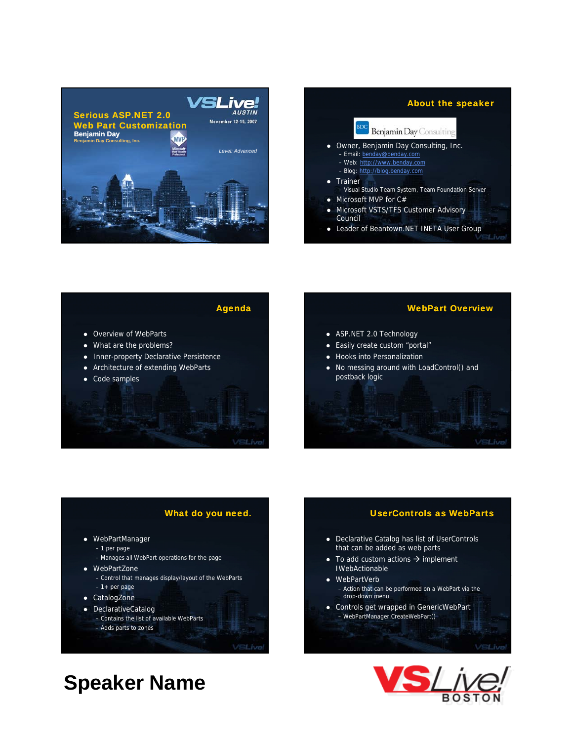



Agenda

VSLive

- Overview of WebParts
- What are the problems?
- Inner-property Declarative Persistence
- Architecture of extending WebParts
- Code samples

#### WebPart Overview

- ASP.NET 2.0 Technology
- Easily create custom "portal"
- Hooks into Personalization
- $\bullet$  No messing around with LoadControl() and postback logic

#### What do you need.

- WebPartManager
	- 1 per page
	- Manages all WebPart operations for the page
- WebPartZone
	- Control that manages display/layout of the WebParts – 1+ per page
- CatalogZone
- DeclarativeCatalog

– Adds parts to zones

– Contains the list of available WebParts

VSLive

**Speaker Name**

#### UserControls as WebParts

- Declarative Catalog has list of UserControls that can be added as web parts
- $\bullet$  To add custom actions  $\rightarrow$  implement IWebActionable
- WebPartVerb
	- $-$  Action that can be performed on a WebPart via the drop-down menu
- Controls get wrapped in GenericWebPart – WebPartManager.CreateWebPart()

VSLive

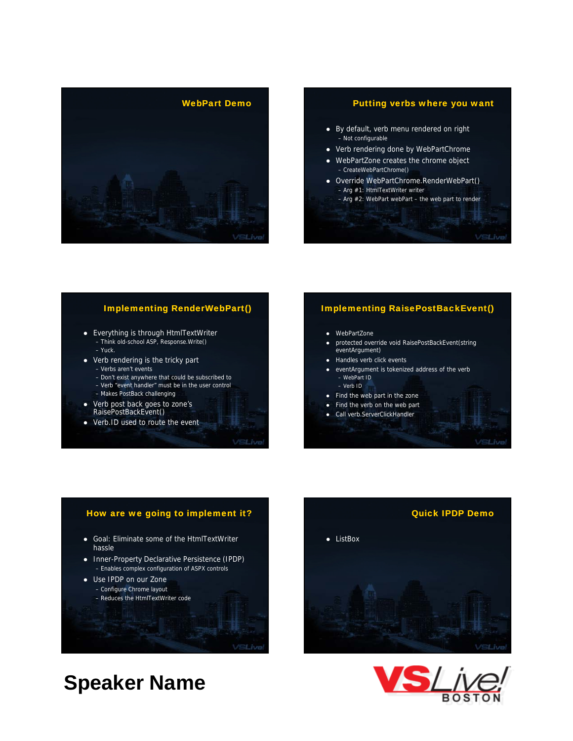

## WebPart Demo<br>
Putting verbs where you want

- By default, verb menu rendered on right – Not configurable
- Verb rendering done by WebPartChrome
- WebPartZone creates the chrome object – CreateWebPartChrome()
- Override WebPartChrome.RenderWebPart() – Arg #1: HtmlTextWriter writer
	- Arg #2: WebPart webPart the web part to render

## **Implementing RenderWebPart()**

**VSLive** 

- Everything is through HtmlTextWriter – Think old-school ASP, Response.Write() – Yuck.
- $\bullet$  Verb rendering is the tricky part – Verbs aren't events
	- Don't exist anywhere that could be subscribed to – Verb "event handler" must be in the user control
	- Makes PostBack challenging
- Verb post back goes to zone's RaisePostBackEvent()
- Verb.ID used to route the event

#### Implementing RaisePostBackEvent()

#### • WebPartZone

- protected override void RaisePostBackEvent(string eventArgument)
- Handles verb click events
- eventArgument is tokenized address of the verb – WebPart ID – Verb ID
- Find the web part in the zone
- Find the verb on the web part
- Call verb.ServerClickHandler



VSLive

# How are we going to implement it? • Goal: Eliminate some of the HtmlTextWriter hassle • Inner-Property Declarative Persistence (IPDP) – Enables complex configuration of ASPX controls • Use IPDP on our Zone – Configure Chrome layout – Reduces the HtmlTextWriter code /SLive

# **Speaker Name**